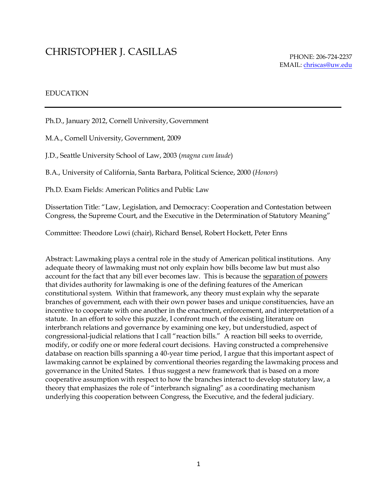# CHRISTOPHER J. CASILLAS

## EDUCATION

Ph.D., January 2012, Cornell University, Government

M.A., Cornell University, Government, 2009

J.D., Seattle University School of Law, 2003 (*magna cum laude*)

B.A., University of California, Santa Barbara, Political Science, 2000 (*Honors*)

Ph.D. Exam Fields: American Politics and Public Law

Dissertation Title: "Law, Legislation, and Democracy: Cooperation and Contestation between Congress, the Supreme Court, and the Executive in the Determination of Statutory Meaning"

Committee: Theodore Lowi (chair), Richard Bensel, Robert Hockett, Peter Enns

Abstract: Lawmaking plays a central role in the study of American political institutions. Any adequate theory of lawmaking must not only explain how bills become law but must also account for the fact that any bill ever becomes law. This is because the separation of powers that divides authority for lawmaking is one of the defining features of the American constitutional system. Within that framework, any theory must explain why the separate branches of government, each with their own power bases and unique constituencies, have an incentive to cooperate with one another in the enactment, enforcement, and interpretation of a statute. In an effort to solve this puzzle, I confront much of the existing literature on interbranch relations and governance by examining one key, but understudied, aspect of congressional-judicial relations that I call "reaction bills." A reaction bill seeks to override, modify, or codify one or more federal court decisions. Having constructed a comprehensive database on reaction bills spanning a 40-year time period, I argue that this important aspect of lawmaking cannot be explained by conventional theories regarding the lawmaking process and governance in the United States. I thus suggest a new framework that is based on a more cooperative assumption with respect to how the branches interact to develop statutory law, a theory that emphasizes the role of "interbranch signaling" as a coordinating mechanism underlying this cooperation between Congress, the Executive, and the federal judiciary.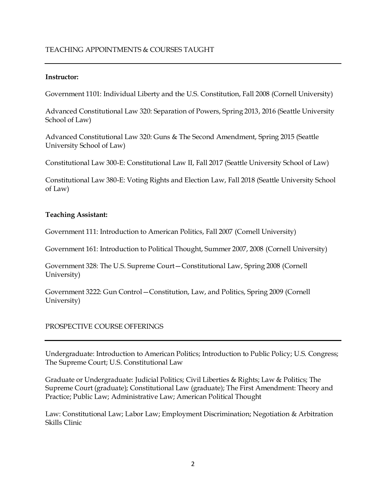## TEACHING APPOINTMENTS & COURSES TAUGHT

#### **Instructor:**

Government 1101: Individual Liberty and the U.S. Constitution, Fall 2008 (Cornell University)

Advanced Constitutional Law 320: Separation of Powers, Spring 2013, 2016 (Seattle University School of Law)

Advanced Constitutional Law 320: Guns & The Second Amendment, Spring 2015 (Seattle University School of Law)

Constitutional Law 300-E: Constitutional Law II, Fall 2017 (Seattle University School of Law)

Constitutional Law 380-E: Voting Rights and Election Law, Fall 2018 (Seattle University School of Law)

## **Teaching Assistant:**

Government 111: Introduction to American Politics, Fall 2007 (Cornell University)

Government 161: Introduction to Political Thought, Summer 2007, 2008 (Cornell University)

Government 328: The U.S. Supreme Court—Constitutional Law, Spring 2008 (Cornell University)

Government 3222: Gun Control—Constitution, Law, and Politics, Spring 2009 (Cornell University)

## PROSPECTIVE COURSE OFFERINGS

Undergraduate: Introduction to American Politics; Introduction to Public Policy; U.S. Congress; The Supreme Court; U.S. Constitutional Law

Graduate or Undergraduate: Judicial Politics; Civil Liberties & Rights; Law & Politics; The Supreme Court (graduate); Constitutional Law (graduate); The First Amendment: Theory and Practice; Public Law; Administrative Law; American Political Thought

Law: Constitutional Law; Labor Law; Employment Discrimination; Negotiation & Arbitration Skills Clinic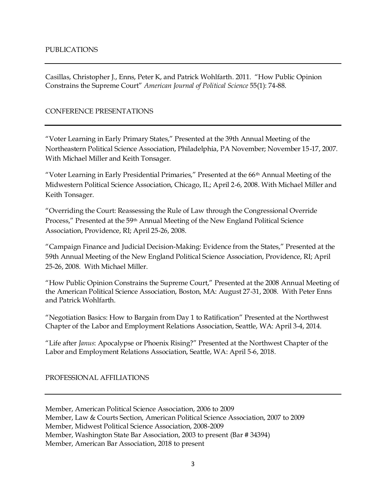Casillas, Christopher J., Enns, Peter K, and Patrick Wohlfarth. 2011. "How Public Opinion Constrains the Supreme Court" *American Journal of Political Science* 55(1): 74-88.

#### CONFERENCE PRESENTATIONS

"Voter Learning in Early Primary States," Presented at the 39th Annual Meeting of the Northeastern Political Science Association, Philadelphia, PA November; November 15-17, 2007. With Michael Miller and Keith Tonsager.

"Voter Learning in Early Presidential Primaries," Presented at the  $66<sup>th</sup>$  Annual Meeting of the Midwestern Political Science Association, Chicago, IL; April 2-6, 2008. With Michael Miller and Keith Tonsager.

"Overriding the Court: Reassessing the Rule of Law through the Congressional Override Process," Presented at the 59<sup>th</sup> Annual Meeting of the New England Political Science Association, Providence, RI; April 25-26, 2008.

"Campaign Finance and Judicial Decision-Making: Evidence from the States," Presented at the 59th Annual Meeting of the New England Political Science Association, Providence, RI; April 25-26, 2008. With Michael Miller.

"How Public Opinion Constrains the Supreme Court," Presented at the 2008 Annual Meeting of the American Political Science Association, Boston, MA: August 27-31, 2008. With Peter Enns and Patrick Wohlfarth.

"Negotiation Basics: How to Bargain from Day 1 to Ratification" Presented at the Northwest Chapter of the Labor and Employment Relations Association, Seattle, WA: April 3-4, 2014.

"Life after *Janus*: Apocalypse or Phoenix Rising?" Presented at the Northwest Chapter of the Labor and Employment Relations Association, Seattle, WA: April 5-6, 2018.

#### PROFESSIONAL AFFILIATIONS

Member, American Political Science Association, 2006 to 2009 Member, Law & Courts Section, American Political Science Association, 2007 to 2009 Member, Midwest Political Science Association, 2008-2009 Member, Washington State Bar Association, 2003 to present (Bar # 34394) Member, American Bar Association, 2018 to present